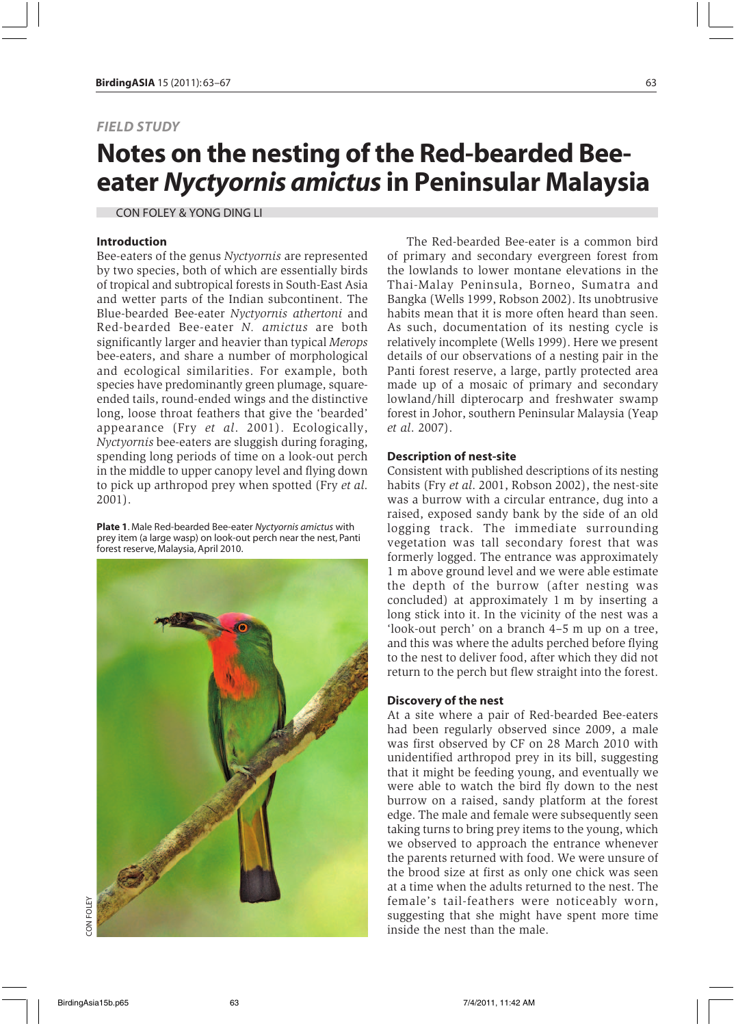## *FIELD STUDY*

# **Notes on the nesting of the Red-bearded Beeeater** *Nyctyornis amictus* **in Peninsular Malaysia**

CON FOLEY & YONG DING LI

### **Introduction**

Bee-eaters of the genus *Nyctyornis* are represented by two species, both of which are essentially birds of tropical and subtropical forests in South-East Asia and wetter parts of the Indian subcontinent. The Blue-bearded Bee-eater *Nyctyornis athertoni* and Red-bearded Bee-eater *N. amictus* are both significantly larger and heavier than typical *Merops* bee-eaters, and share a number of morphological and ecological similarities. For example, both species have predominantly green plumage, squareended tails, round-ended wings and the distinctive long, loose throat feathers that give the 'bearded' appearance (Fry *et al*. 2001). Ecologically, *Nyctyornis* bee-eaters are sluggish during foraging, spending long periods of time on a look-out perch in the middle to upper canopy level and flying down to pick up arthropod prey when spotted (Fry *et al*. 2001).

**Plate 1**. Male Red-bearded Bee-eater *Nyctyornis amictus* with prey item (a large wasp) on look-out perch near the nest, Panti forest reserve, Malaysia, April 2010.



The Red-bearded Bee-eater is a common bird of primary and secondary evergreen forest from the lowlands to lower montane elevations in the Thai-Malay Peninsula, Borneo, Sumatra and Bangka (Wells 1999, Robson 2002). Its unobtrusive habits mean that it is more often heard than seen. As such, documentation of its nesting cycle is relatively incomplete (Wells 1999). Here we present details of our observations of a nesting pair in the Panti forest reserve, a large, partly protected area made up of a mosaic of primary and secondary lowland/hill dipterocarp and freshwater swamp forest in Johor, southern Peninsular Malaysia (Yeap *et al*. 2007).

#### **Description of nest-site**

Consistent with published descriptions of its nesting habits (Fry *et al*. 2001, Robson 2002), the nest-site was a burrow with a circular entrance, dug into a raised, exposed sandy bank by the side of an old logging track. The immediate surrounding vegetation was tall secondary forest that was formerly logged. The entrance was approximately 1 m above ground level and we were able estimate the depth of the burrow (after nesting was concluded) at approximately 1 m by inserting a long stick into it. In the vicinity of the nest was a 'look-out perch' on a branch 4–5 m up on a tree, and this was where the adults perched before flying to the nest to deliver food, after which they did not return to the perch but flew straight into the forest.

## **Discovery of the nest**

At a site where a pair of Red-bearded Bee-eaters had been regularly observed since 2009, a male was first observed by CF on 28 March 2010 with unidentified arthropod prey in its bill, suggesting that it might be feeding young, and eventually we were able to watch the bird fly down to the nest burrow on a raised, sandy platform at the forest edge. The male and female were subsequently seen taking turns to bring prey items to the young, which we observed to approach the entrance whenever the parents returned with food. We were unsure of the brood size at first as only one chick was seen at a time when the adults returned to the nest. The female's tail-feathers were noticeably worn, suggesting that she might have spent more time inside the nest than the male.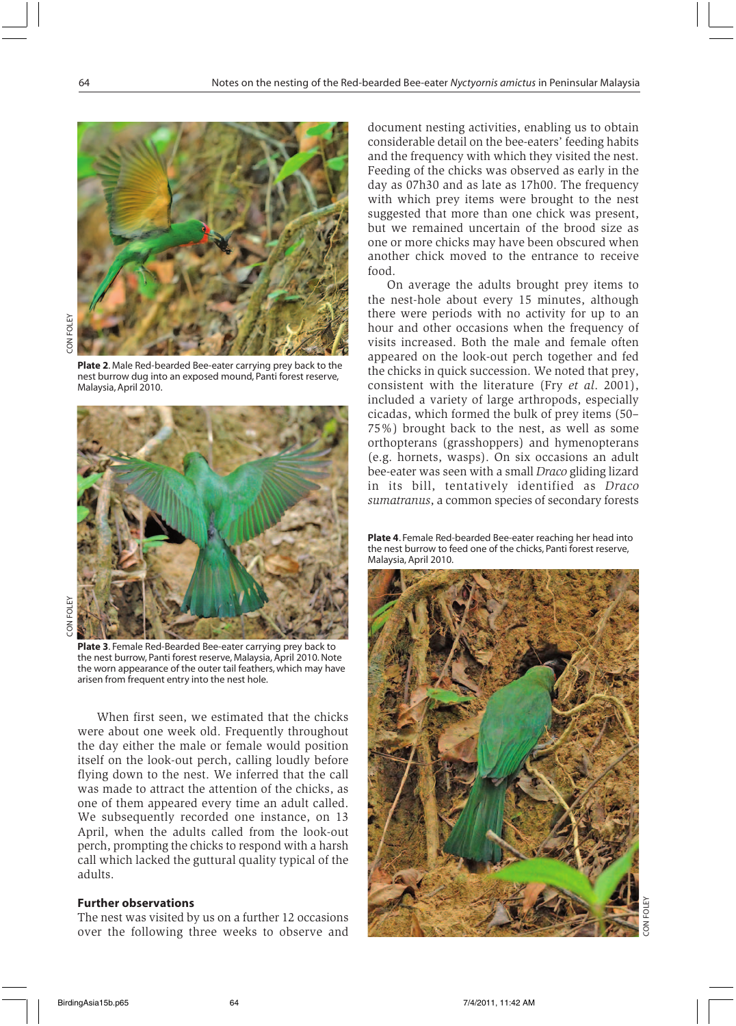

**Plate 2**. Male Red-bearded Bee-eater carrying prey back to the nest burrow dug into an exposed mound, Panti forest reserve, Malaysia, April 2010.



**Plate 3**. Female Red-Bearded Bee-eater carrying prey back to the nest burrow, Panti forest reserve, Malaysia, April 2010. Note the worn appearance of the outer tail feathers, which may have arisen from frequent entry into the nest hole.

When first seen, we estimated that the chicks were about one week old. Frequently throughout the day either the male or female would position itself on the look-out perch, calling loudly before flying down to the nest. We inferred that the call was made to attract the attention of the chicks, as one of them appeared every time an adult called. We subsequently recorded one instance, on 13 April, when the adults called from the look-out perch, prompting the chicks to respond with a harsh call which lacked the guttural quality typical of the adults.

## **Further observations**

The nest was visited by us on a further 12 occasions over the following three weeks to observe and

document nesting activities, enabling us to obtain considerable detail on the bee-eaters' feeding habits and the frequency with which they visited the nest. Feeding of the chicks was observed as early in the day as 07h30 and as late as 17h00. The frequency with which prey items were brought to the nest suggested that more than one chick was present, but we remained uncertain of the brood size as one or more chicks may have been obscured when another chick moved to the entrance to receive food.

On average the adults brought prey items to the nest-hole about every 15 minutes, although there were periods with no activity for up to an hour and other occasions when the frequency of visits increased. Both the male and female often appeared on the look-out perch together and fed the chicks in quick succession. We noted that prey, consistent with the literature (Fry *et al*. 2001), included a variety of large arthropods, especially cicadas, which formed the bulk of prey items (50– 75%) brought back to the nest, as well as some orthopterans (grasshoppers) and hymenopterans (e.g. hornets, wasps). On six occasions an adult bee-eater was seen with a small *Draco* gliding lizard in its bill, tentatively identified as *Draco sumatranus*, a common species of secondary forests

**Plate 4**. Female Red-bearded Bee-eater reaching her head into the nest burrow to feed one of the chicks, Panti forest reserve, Malaysia, April 2010.

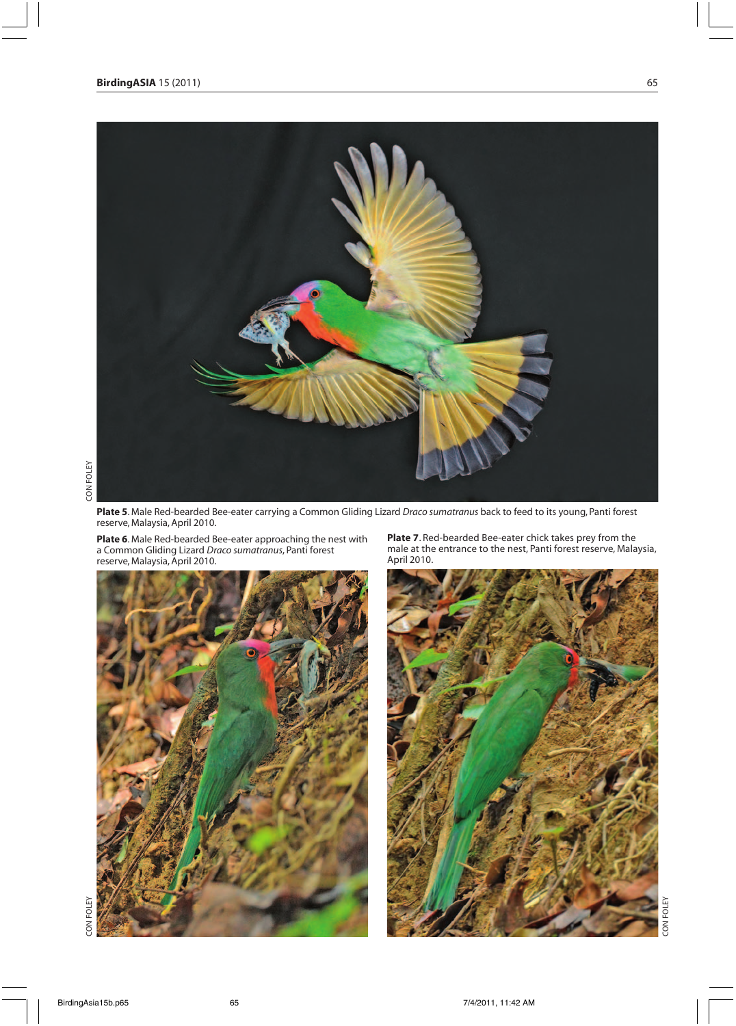

**Plate 5**. Male Red-bearded Bee-eater carrying a Common Gliding Lizard *Draco sumatranus* back to feed to its young, Panti forest reserve, Malaysia, April 2010.

**Plate 6**. Male Red-bearded Bee-eater approaching the nest with a Common Gliding Lizard *Draco sumatranus*, Panti forest reserve, Malaysia, April 2010.



**Plate 7**. Red-bearded Bee-eater chick takes prey from the male at the entrance to the nest, Panti forest reserve, Malaysia, April 2010.



CON FOLEY

ON FOLE

CON FOLEY

CON FOLEY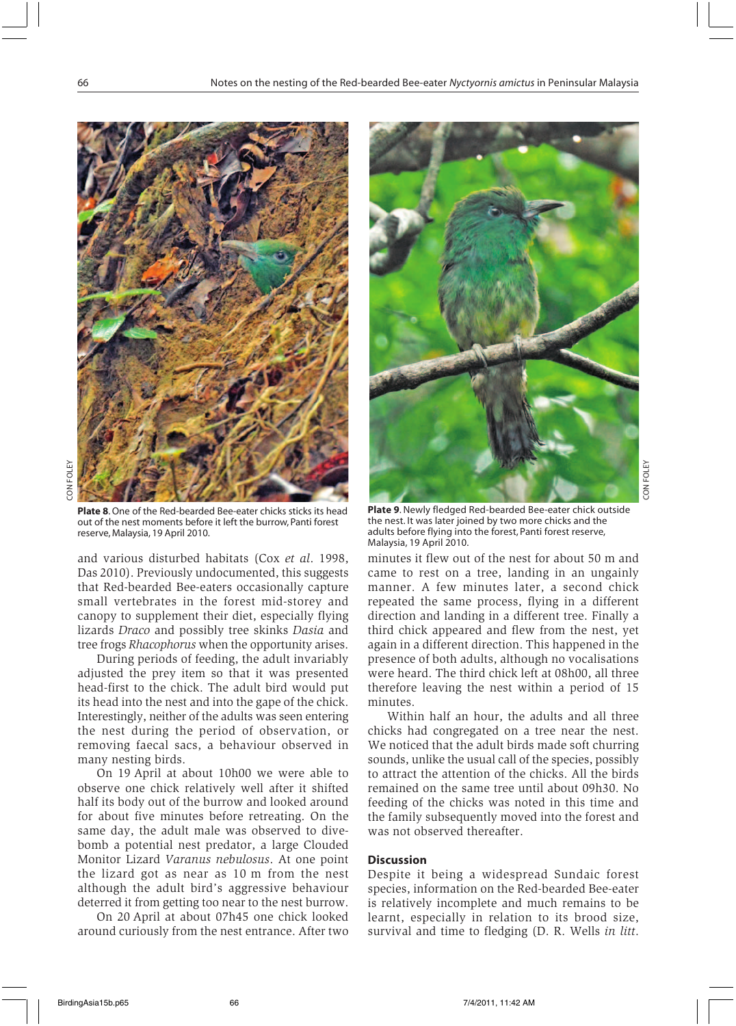

**Plate 8**. One of the Red-bearded Bee-eater chicks sticks its head out of the nest moments before it left the burrow, Panti forest reserve, Malaysia, 19 April 2010.

and various disturbed habitats (Cox *et al*. 1998, Das 2010). Previously undocumented, this suggests that Red-bearded Bee-eaters occasionally capture small vertebrates in the forest mid-storey and canopy to supplement their diet, especially flying lizards *Draco* and possibly tree skinks *Dasia* and tree frogs *Rhacophorus* when the opportunity arises.

During periods of feeding, the adult invariably adjusted the prey item so that it was presented head-first to the chick. The adult bird would put its head into the nest and into the gape of the chick. Interestingly, neither of the adults was seen entering the nest during the period of observation, or removing faecal sacs, a behaviour observed in many nesting birds.

On 19 April at about 10h00 we were able to observe one chick relatively well after it shifted half its body out of the burrow and looked around for about five minutes before retreating. On the same day, the adult male was observed to divebomb a potential nest predator, a large Clouded Monitor Lizard *Varanus nebulosus*. At one point the lizard got as near as 10 m from the nest although the adult bird's aggressive behaviour deterred it from getting too near to the nest burrow.

On 20 April at about 07h45 one chick looked around curiously from the nest entrance. After two



**Plate 9**. Newly fledged Red-bearded Bee-eater chick outside the nest. It was later joined by two more chicks and the adults before flying into the forest, Panti forest reserve, Malaysia, 19 April 2010.

minutes it flew out of the nest for about 50 m and came to rest on a tree, landing in an ungainly manner. A few minutes later, a second chick repeated the same process, flying in a different direction and landing in a different tree. Finally a third chick appeared and flew from the nest, yet again in a different direction. This happened in the presence of both adults, although no vocalisations were heard. The third chick left at 08h00, all three therefore leaving the nest within a period of 15 minutes.

Within half an hour, the adults and all three chicks had congregated on a tree near the nest. We noticed that the adult birds made soft churring sounds, unlike the usual call of the species, possibly to attract the attention of the chicks. All the birds remained on the same tree until about 09h30. No feeding of the chicks was noted in this time and the family subsequently moved into the forest and was not observed thereafter.

## **Discussion**

Despite it being a widespread Sundaic forest species, information on the Red-bearded Bee-eater is relatively incomplete and much remains to be learnt, especially in relation to its brood size, survival and time to fledging (D. R. Wells *in litt*.

CON FOLEY